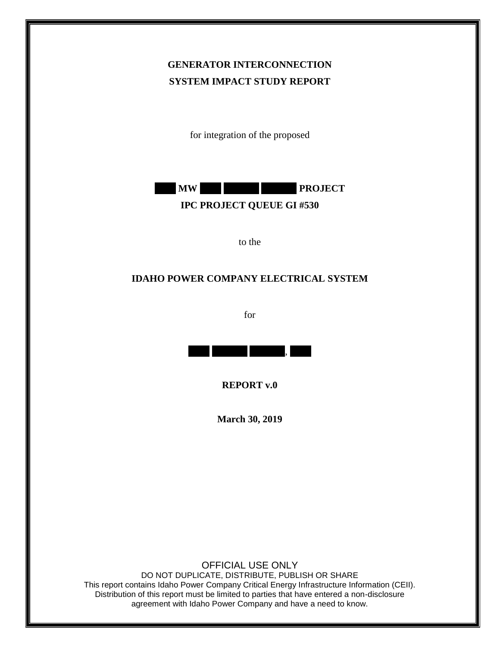# **GENERATOR INTERCONNECTION SYSTEM IMPACT STUDY REPORT**

for integration of the proposed



to the

## **IDAHO POWER COMPANY ELECTRICAL SYSTEM**

for



**REPORT v.0**

**March 30, 2019**

OFFICIAL USE ONLY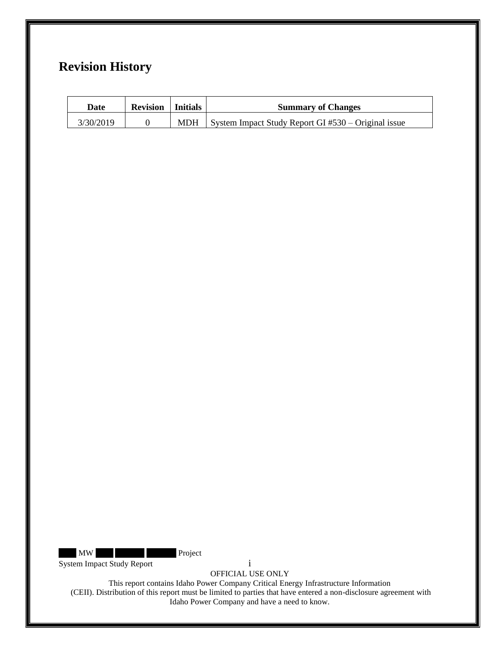# **Revision History**

| Date      | <b>Revision</b>   Initials |            | <b>Summary of Changes</b>                           |
|-----------|----------------------------|------------|-----------------------------------------------------|
| 3/30/2019 |                            | <b>MDH</b> | System Impact Study Report GI #530 – Original issue |

MW Project

System Impact Study Report i

OFFICIAL USE ONLY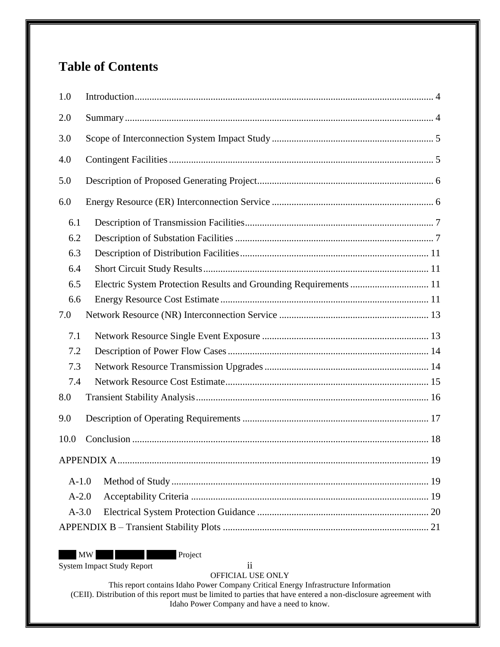# **Table of Contents**

| 1.0                                                                      |  |
|--------------------------------------------------------------------------|--|
| 2.0                                                                      |  |
| 3.0                                                                      |  |
| 4.0                                                                      |  |
| 5.0                                                                      |  |
| 6.0                                                                      |  |
| 6.1                                                                      |  |
| 6.2                                                                      |  |
| 6.3                                                                      |  |
| 6.4                                                                      |  |
| Electric System Protection Results and Grounding Requirements  11<br>6.5 |  |
| 6.6                                                                      |  |
| 7.0                                                                      |  |
| 7.1                                                                      |  |
| 7.2                                                                      |  |
| 7.3                                                                      |  |
| 7.4                                                                      |  |
| 8.0                                                                      |  |
| 9.0                                                                      |  |
| 10.0                                                                     |  |
|                                                                          |  |
| $A-1.0$                                                                  |  |
| $A-2.0$                                                                  |  |
| $A-3.0$                                                                  |  |
|                                                                          |  |

MW Project

System Impact Study Report ii

OFFICIAL USE ONLY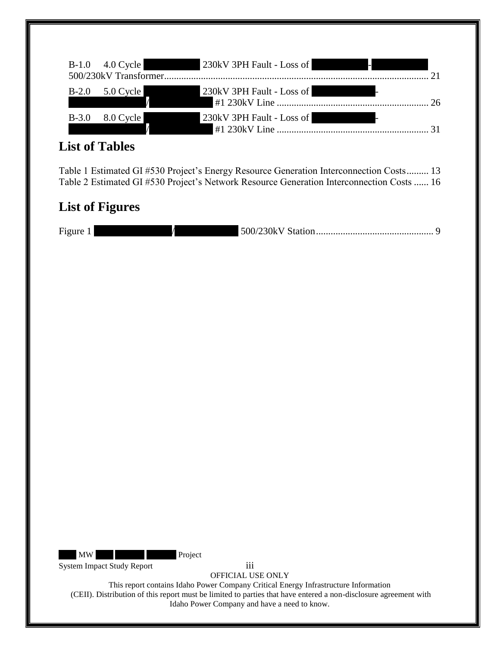|         | B-1.0 4.0 Cycle | 230kV 3PH Fault - Loss of                                    |    |
|---------|-----------------|--------------------------------------------------------------|----|
| $B-2.0$ | $5.0$ Cycle     | 230kV 3PH Fault - Loss of<br><b>All De La Constantinople</b> | 26 |
| $B-3.0$ | 8.0 Cycle       | 230kV 3PH Fault - Loss of<br><b>Alley</b>                    |    |

# **List of Tables**

[Table 1 Estimated GI #530 Project's Energy Resource Generation Interconnection Costs.........](#page-13-2) 13 [Table 2 Estimated GI #530 Project's Network Resource Generation Interconnection Costs](#page-16-1) ...... 16

# **List of Figures**

| $\overline{\phantom{a}}$<br>Figure ! |  |
|--------------------------------------|--|
|--------------------------------------|--|

MW Project

System Impact Study Report iii

OFFICIAL USE ONLY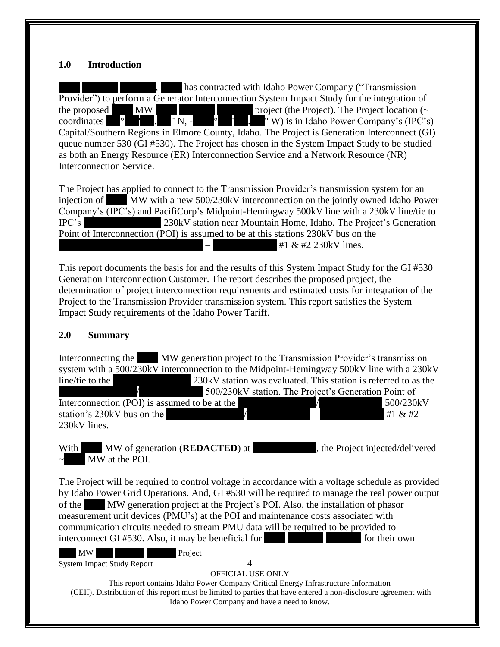#### <span id="page-4-0"></span>**1.0 Introduction**

It has contracted with Idaho Power Company ("Transmission", Provider") to perform a Generator Interconnection System Impact Study for the integration of the proposed  $\blacksquare$  MW  $\blacksquare$  The Project (the Project). The Project location ( $\sim$ coordinates  $\circ$  ' . "N, -  $\circ$  ' . "W) is in Idaho Power Company's (IPC's) Capital/Southern Regions in Elmore County, Idaho. The Project is Generation Interconnect (GI) queue number 530 (GI #530). The Project has chosen in the System Impact Study to be studied as both an Energy Resource (ER) Interconnection Service and a Network Resource (NR) Interconnection Service.

The Project has applied to connect to the Transmission Provider's transmission system for an injection of MW with a new 500/230kV interconnection on the jointly owned Idaho Power Company's (IPC's) and PacifiCorp's Midpoint-Hemingway 500kV line with a 230kV line/tie to IPC's 230kV station near Mountain Home, Idaho. The Project's Generation Point of Interconnection (POI) is assumed to be at this stations 230kV bus on the  $#1 & 230kV$  lines.

This report documents the basis for and the results of this System Impact Study for the GI #530 Generation Interconnection Customer. The report describes the proposed project, the determination of project interconnection requirements and estimated costs for integration of the Project to the Transmission Provider transmission system. This report satisfies the System Impact Study requirements of the Idaho Power Tariff.

#### <span id="page-4-1"></span>**2.0 Summary**

Interconnecting the MW generation project to the Transmission Provider's transmission system with a 500/230kV interconnection to the Midpoint-Hemingway 500kV line with a 230kV line/tie to the  $\frac{230kV}{230kV}$  station was evaluated. This station is referred to as the 500/230kV station. The Project's Generation Point of Interconnection (POI) is assumed to be at the  $\frac{1}{\sqrt{1.500}}$  /  $\frac{500}{230kV}$ station's 230kV bus on the  $\sqrt{41 \& #2}$ 230kV lines.

With MW of generation (**REDACTED**) at , the Project injected/delivered MW at the POI.

The Project will be required to control voltage in accordance with a voltage schedule as provided by Idaho Power Grid Operations. And, GI #530 will be required to manage the real power output of the MW generation project at the Project's POI. Also, the installation of phasor measurement unit devices (PMU's) at the POI and maintenance costs associated with communication circuits needed to stream PMU data will be required to be provided to interconnect GI #530. Also, it may be beneficial for <br>for their own

MW Project System Impact Study Report 4

OFFICIAL USE ONLY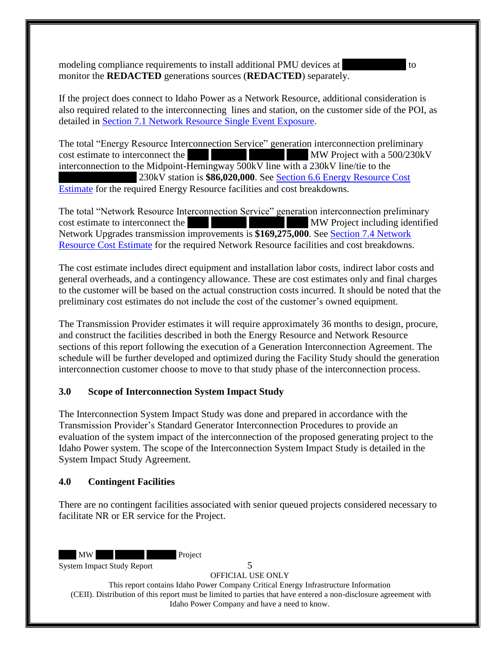modeling compliance requirements to install additional PMU devices at  $\sim$ monitor the **REDACTED** generations sources (**REDACTED**) separately.

If the project does connect to Idaho Power as a Network Resource, additional consideration is also required related to the interconnecting lines and station, on the customer side of the POI, as detailed in [Section 7.1 Network Resource Single Event Exposure.](#page-13-1)

The total "Energy Resource Interconnection Service" generation interconnection preliminary cost estimate to interconnect the XXX XXX MW Project with a 500/230kV interconnection to the Midpoint-Hemingway 500kV line with a 230kV line/tie to the 230kV station is **\$86,020,000**. See Section 6.6 Energy Resource Cost [Estimate](#page-11-3) for the required Energy Resource facilities and cost breakdowns.

The total "Network Resource Interconnection Service" generation interconnection preliminary cost estimate to interconnect the XXX XXX XXX XXX MW Project including identified Network Upgrades transmission improvements is **\$169,275,000**. See [Section 7.4 Network](#page-15-0)  [Resource Cost Estimate](#page-15-0) for the required Network Resource facilities and cost breakdowns.

The cost estimate includes direct equipment and installation labor costs, indirect labor costs and general overheads, and a contingency allowance. These are cost estimates only and final charges to the customer will be based on the actual construction costs incurred. It should be noted that the preliminary cost estimates do not include the cost of the customer's owned equipment.

The Transmission Provider estimates it will require approximately 36 months to design, procure, and construct the facilities described in both the Energy Resource and Network Resource sections of this report following the execution of a Generation Interconnection Agreement. The schedule will be further developed and optimized during the Facility Study should the generation interconnection customer choose to move to that study phase of the interconnection process.

#### <span id="page-5-0"></span>**3.0 Scope of Interconnection System Impact Study**

The Interconnection System Impact Study was done and prepared in accordance with the Transmission Provider's Standard Generator Interconnection Procedures to provide an evaluation of the system impact of the interconnection of the proposed generating project to the Idaho Power system. The scope of the Interconnection System Impact Study is detailed in the System Impact Study Agreement.

#### <span id="page-5-1"></span>**4.0 Contingent Facilities**

There are no contingent facilities associated with senior queued projects considered necessary to facilitate NR or ER service for the Project.

MW Project

System Impact Study Report 5

OFFICIAL USE ONLY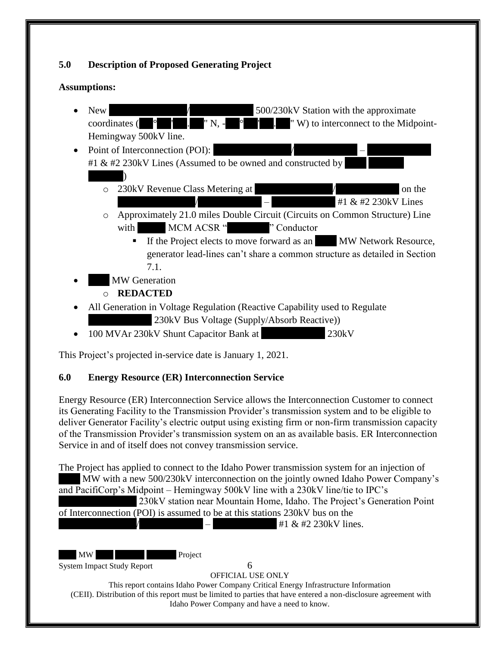## <span id="page-6-0"></span>**5.0 Description of Proposed Generating Project**

#### **Assumptions:**

- New XXXXXXXXXXX/XXXXXXXXX 500/230kV Station with the approximate coordinates (XX°XX'XX.XX" N, -XX°XX'XX.XX" W) to interconnect to the Midpoint-Hemingway 500kV line.
- Point of Interconnection (POI): #1  $&$  #2 230kV Lines (Assumed to be owned and constructed by  $\lambda$ 
	- o 230kV Revenue Class Metering at XXXXXXXXXXXXXX on the  $#1 & 230kV$  Lines
	- o Approximately 21.0 miles Double Circuit (Circuits on Common Structure) Line with MCM ACSR "XXXX" Conductor
		- If the Project elects to move forward as an XXX MW Network Resource, generator lead-lines can't share a common structure as detailed in Section 7.1.

**MW Generation** 

## o **REDACTED**

- All Generation in Voltage Regulation (Reactive Capability used to Regulate  $230kV$  Bus Voltage (Supply/Absorb Reactive))
- 100 MVAr 230kV Shunt Capacitor Bank at  $230kV$

This Project's projected in-service date is January 1, 2021.

## <span id="page-6-1"></span>**6.0 Energy Resource (ER) Interconnection Service**

Energy Resource (ER) Interconnection Service allows the Interconnection Customer to connect its Generating Facility to the Transmission Provider's transmission system and to be eligible to deliver Generator Facility's electric output using existing firm or non-firm transmission capacity of the Transmission Provider's transmission system on an as available basis. ER Interconnection Service in and of itself does not convey transmission service.

The Project has applied to connect to the Idaho Power transmission system for an injection of MW with a new 500/230kV interconnection on the jointly owned Idaho Power Company's and PacifiCorp's Midpoint – Hemingway 500kV line with a 230kV line/tie to IPC's

230kV station near Mountain Home, Idaho. The Project's Generation Point of Interconnection (POI) is assumed to be at this stations 230kV bus on the

 $+1 & 41 \& 42 \& 230 \& 10 \& 230 \& 230 \& 230 \& 230 \& 230 \& 230 \& 230 \& 230 \& 230 \& 230 \& 230 \& 230 \& 230 \& 230 \& 230 \& 230 \& 230 \& 230 \& 230 \& 230 \& 230 \& 230 \& 230 \& 230 \& 230 \& 230 \& 230 \& 230 \& 230 \& 230 \& 230 \& 230 \& 230$ 

MW Project

System Impact Study Report 6

OFFICIAL USE ONLY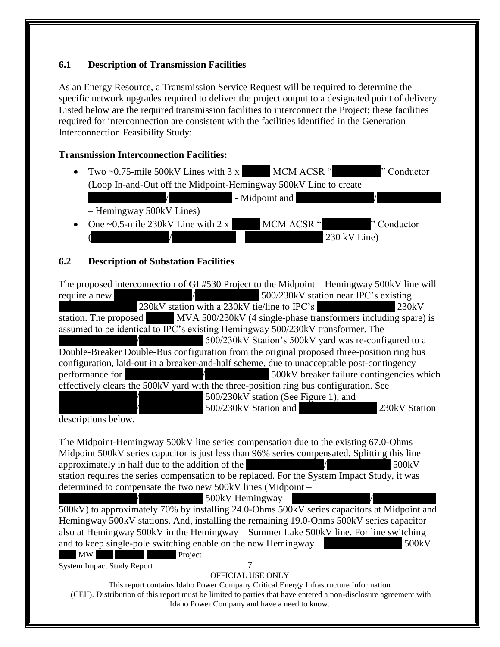## <span id="page-7-0"></span>**6.1 Description of Transmission Facilities**

As an Energy Resource, a Transmission Service Request will be required to determine the specific network upgrades required to deliver the project output to a designated point of delivery. Listed below are the required transmission facilities to interconnect the Project; these facilities required for interconnection are consistent with the facilities identified in the Generation Interconnection Feasibility Study:

#### **Transmission Interconnection Facilities:**

• Two ~0.75-mile 500kV Lines with  $3 \times MCM$  ACSR " $\sim$  "Conductor" (Loop In-and-Out off the Midpoint-Hemingway 500kV Line to create  $\overline{\phantom{a}}$  - Midpoint and – Hemingway 500kV Lines) One  $\sim$  0.5-mile 230kV Line with 2 x MCM ACSR "Y Conductor

 $230$  kV Line)

## <span id="page-7-1"></span>**6.2 Description of Substation Facilities**

|                 | The proposed interconnection of GI #530 Project to the Midpoint – Hemingway 500kV line will |  |
|-----------------|---------------------------------------------------------------------------------------------|--|
| require a new   | 500/230kV station near IPC's existing                                                       |  |
|                 | 230kV station with a 230kV tie/line to IPC's<br>230kV                                       |  |
|                 | station. The proposed MVA 500/230kV (4 single-phase transformers including spare) is        |  |
|                 | assumed to be identical to IPC's existing Hemingway 500/230kV transformer. The              |  |
|                 | 500/230kV Station's 500kV yard was re-configured to a                                       |  |
|                 | Double-Breaker Double-Bus configuration from the original proposed three-position ring bus  |  |
|                 | configuration, laid-out in a breaker-and-half scheme, due to unacceptable post-contingency  |  |
| performance for | 500kV breaker failure contingencies which                                                   |  |
|                 | effectively clears the 500kV yard with the three-position ring bus configuration. See       |  |
|                 | 500/230kV station (See Figure 1), and                                                       |  |
|                 | 500/230kV Station and<br>230kV Station                                                      |  |

descriptions below.

The Midpoint-Hemingway 500kV line series compensation due to the existing 67.0-Ohms Midpoint 500kV series capacitor is just less than 96% series compensated. Splitting this line approximately in half due to the addition of the  $\overline{X}$  XXXXXXX station requires the series compensation to be replaced. For the System Impact Study, it was determined to compensate the two new 500kV lines (Midpoint –

 $500kV$  Hemingway –

MW Project 500kV) to approximately 70% by installing 24.0-Ohms 500kV series capacitors at Midpoint and Hemingway 500kV stations. And, installing the remaining 19.0-Ohms 500kV series capacitor also at Hemingway 500kV in the Hemingway – Summer Lake 500kV line. For line switching and to keep single-pole switching enable on the new Hemingway –  $\sim$  500kV

System Impact Study Report 7

#### OFFICIAL USE ONLY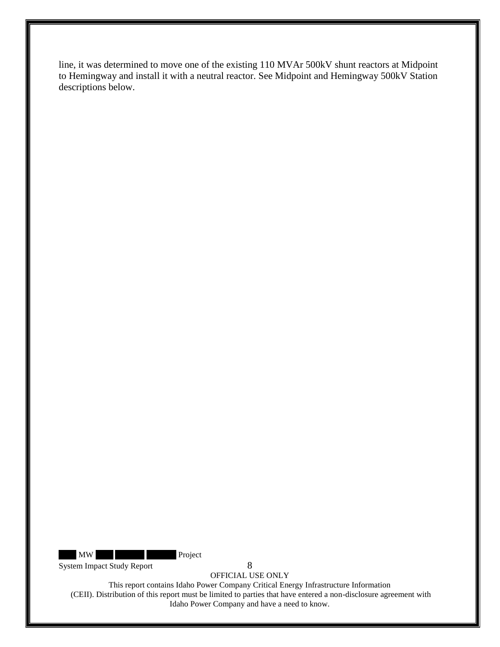line, it was determined to move one of the existing 110 MVAr 500kV shunt reactors at Midpoint to Hemingway and install it with a neutral reactor. See Midpoint and Hemingway 500kV Station descriptions below.

MW Project

System Impact Study Report 8

OFFICIAL USE ONLY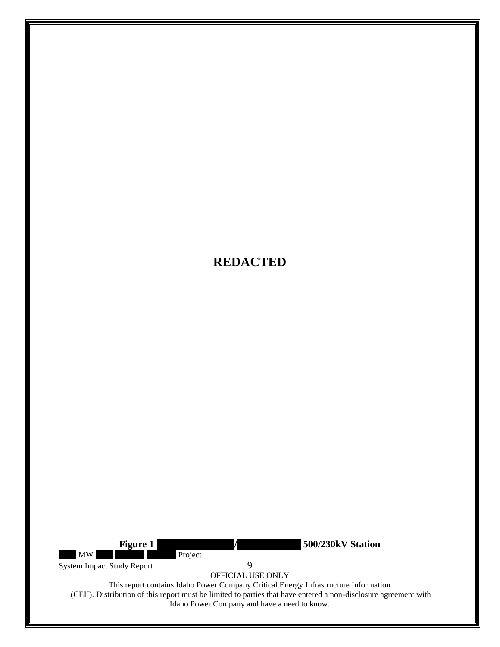<span id="page-9-0"></span>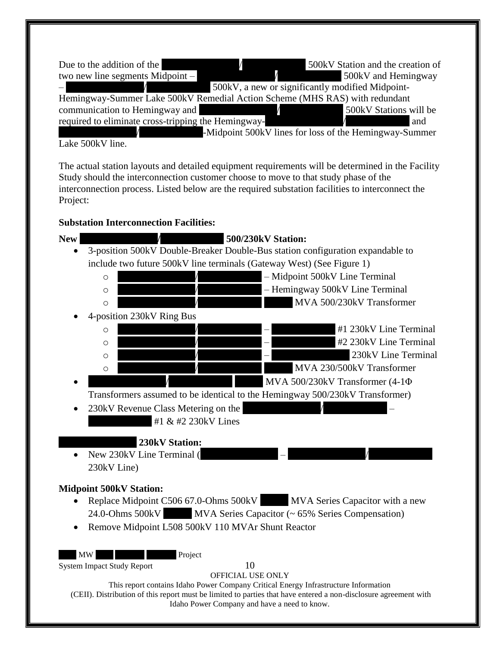| Due to the addition of the                                                  | 500kV Station and the creation of                      |
|-----------------------------------------------------------------------------|--------------------------------------------------------|
| two new line segments $Midpoint -$                                          | 500kV and Hemingway                                    |
|                                                                             | 500kV, a new or significantly modified Midpoint-       |
| Hemingway-Summer Lake 500kV Remedial Action Scheme (MHS RAS) with redundant |                                                        |
| communication to Hemingway and                                              | 500kV Stations will be                                 |
| required to eliminate cross-tripping the Hemingway-                         | and                                                    |
|                                                                             | -Midpoint 500kV lines for loss of the Hemingway-Summer |

Lake 500kV line.

The actual station layouts and detailed equipment requirements will be determined in the Facility Study should the interconnection customer choose to move to that study phase of the interconnection process. Listed below are the required substation facilities to interconnect the Project:

#### **Substation Interconnection Facilities:**

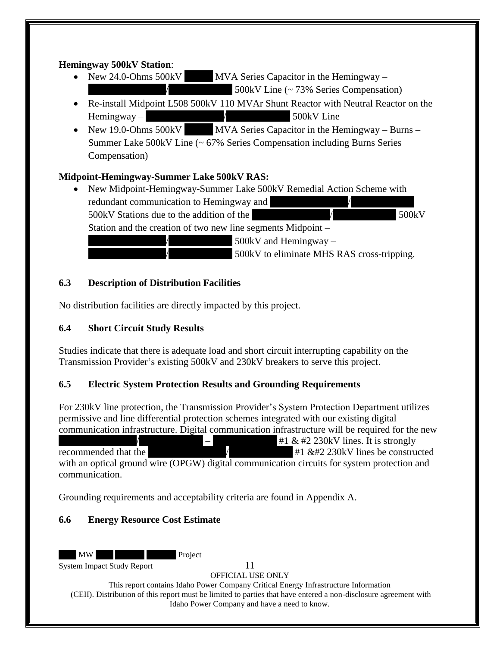### **Hemingway 500kV Station**:

- New 24.0-Ohms  $500kV$  MVA Series Capacitor in the Hemingway  $500$ kV Line (~ 73% Series Compensation)
- Re-install Midpoint L508 500kV 110 MVAr Shunt Reactor with Neutral Reactor on the  $H$ emingway –  $\frac{1}{\sqrt{3}}$   $\frac{1}{\sqrt{3}}$  500kV Line
- New 19.0-Ohms  $500kV$  MVA Series Capacitor in the Hemingway Burns Summer Lake 500kV Line (~ 67% Series Compensation including Burns Series Compensation)

## **Midpoint-Hemingway-Summer Lake 500kV RAS:**

• New Midpoint-Hemingway-Summer Lake 500kV Remedial Action Scheme with redundant communication to Hemingway and 500kV Stations due to the addition of the XXXXXXXXXXX/XXXXXXXXX 500kV Station and the creation of two new line segments Midpoint –  $500$ kV and Hemingway – 500kV to eliminate MHS RAS cross-tripping.

## <span id="page-11-0"></span>**6.3 Description of Distribution Facilities**

No distribution facilities are directly impacted by this project.

## <span id="page-11-1"></span>**6.4 Short Circuit Study Results**

Studies indicate that there is adequate load and short circuit interrupting capability on the Transmission Provider's existing 500kV and 230kV breakers to serve this project.

## <span id="page-11-2"></span>**6.5 Electric System Protection Results and Grounding Requirements**

For 230kV line protection, the Transmission Provider's System Protection Department utilizes permissive and line differential protection schemes integrated with our existing digital communication infrastructure. Digital communication infrastructure will be required for the new  $+1 \& #2 230 \text{kV}$  lines. It is strongly recommended that the  $\overline{X}$   $\overline{X}$   $\overline{X}$   $\overline{X}$   $\overline{X}$   $\overline{X}$   $\overline{X}$   $\overline{X}$  and  $\overline{X}$   $\overline{X}$   $\overline{X}$   $\overline{X}$   $\overline{X}$   $\overline{X}$   $\overline{X}$   $\overline{X}$   $\overline{X}$   $\overline{X}$   $\overline{X}$   $\overline{X}$   $\overline{X}$   $\overline{X}$ with an optical ground wire (OPGW) digital communication circuits for system protection and communication.

Grounding requirements and acceptability criteria are found in Appendix A.

## <span id="page-11-3"></span>**6.6 Energy Resource Cost Estimate**

MW Project

System Impact Study Report 11

OFFICIAL USE ONLY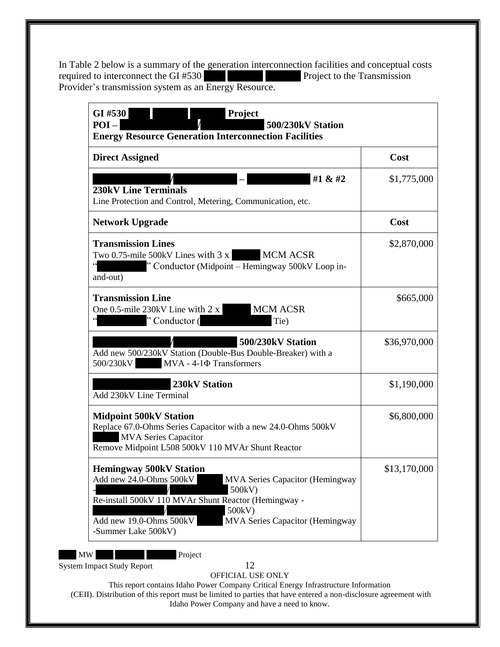In Table 2 below is a summary of the generation interconnection facilities and conceptual costs required to interconnect the GI #530 required to interconnect the GI  $#530$ Provider's transmission system as an Energy Resource.

| <b>Direct Assigned</b>                                                                                                                                                                                                                                                      | Cost         |
|-----------------------------------------------------------------------------------------------------------------------------------------------------------------------------------------------------------------------------------------------------------------------------|--------------|
| #1 $& 42$<br><b>230kV Line Terminals</b><br>Line Protection and Control, Metering, Communication, etc.                                                                                                                                                                      | \$1,775,000  |
| <b>Network Upgrade</b>                                                                                                                                                                                                                                                      | Cost         |
| <b>Transmission Lines</b><br>Two 0.75-mile 500kV Lines with 3 x MCM ACSR<br>" Conductor (Midpoint – Hemingway 500kV Loop in-<br>and-out)                                                                                                                                    | \$2,870,000  |
| <b>Transmission Line</b><br>One 0.5-mile 230kV Line with $2 x$<br><b>MCM ACSR</b><br>"Conductor (<br>Tie)                                                                                                                                                                   | \$665,000    |
| 500/230kV Station<br>Add new 500/230kV Station (Double-Bus Double-Breaker) with a<br>$MVA - 4-1\Phi$ Transformers<br>500/230kV                                                                                                                                              | \$36,970,000 |
| 230kV Station<br>Add 230kV Line Terminal                                                                                                                                                                                                                                    | \$1,190,000  |
| <b>Midpoint 500kV Station</b><br>Replace 67.0-Ohms Series Capacitor with a new 24.0-Ohms 500kV<br><b>MVA Series Capacitor</b><br>Remove Midpoint L508 500kV 110 MVAr Shunt Reactor                                                                                          | \$6,800,000  |
| <b>Hemingway 500kV Station</b><br>Add new 24.0-Ohms 500kV<br><b>MVA Series Capacitor (Hemingway</b><br>500kV)<br>Re-install 500kV 110 MVAr Shunt Reactor (Hemingway -<br>500kV)<br>Add new 19.0-Ohms 500kV<br><b>MVA Series Capacitor (Hemingway</b><br>-Summer Lake 500kV) | \$13,170,000 |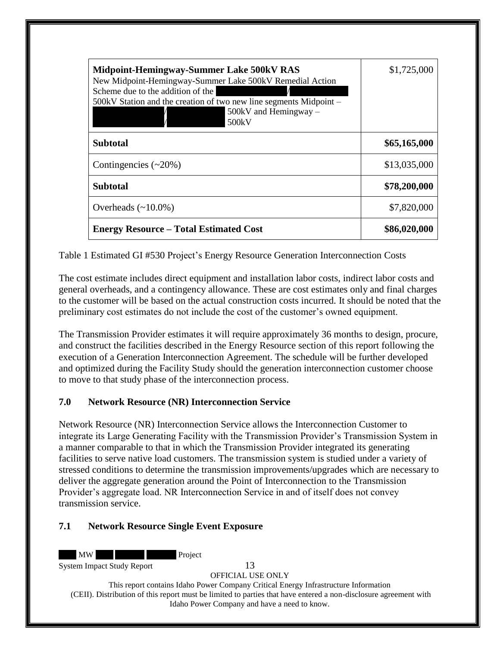| Midpoint-Hemingway-Summer Lake 500kV RAS<br>New Midpoint-Hemingway-Summer Lake 500kV Remedial Action<br>Scheme due to the addition of the<br>500kV Station and the creation of two new line segments Midpoint –<br>$500kV$ and Hemingway –<br>500kV | \$1,725,000  |
|-----------------------------------------------------------------------------------------------------------------------------------------------------------------------------------------------------------------------------------------------------|--------------|
| <b>Subtotal</b>                                                                                                                                                                                                                                     | \$65,165,000 |
| Contingencies $(\sim 20\%)$                                                                                                                                                                                                                         | \$13,035,000 |
| <b>Subtotal</b>                                                                                                                                                                                                                                     | \$78,200,000 |
| Overheads $(\sim 10.0\%)$                                                                                                                                                                                                                           | \$7,820,000  |
| <b>Energy Resource – Total Estimated Cost</b>                                                                                                                                                                                                       | \$86,020,000 |

<span id="page-13-2"></span>Table 1 Estimated GI #530 Project's Energy Resource Generation Interconnection Costs

The cost estimate includes direct equipment and installation labor costs, indirect labor costs and general overheads, and a contingency allowance. These are cost estimates only and final charges to the customer will be based on the actual construction costs incurred. It should be noted that the preliminary cost estimates do not include the cost of the customer's owned equipment.

The Transmission Provider estimates it will require approximately 36 months to design, procure, and construct the facilities described in the Energy Resource section of this report following the execution of a Generation Interconnection Agreement. The schedule will be further developed and optimized during the Facility Study should the generation interconnection customer choose to move to that study phase of the interconnection process.

## <span id="page-13-0"></span>**7.0 Network Resource (NR) Interconnection Service**

Network Resource (NR) Interconnection Service allows the Interconnection Customer to integrate its Large Generating Facility with the Transmission Provider's Transmission System in a manner comparable to that in which the Transmission Provider integrated its generating facilities to serve native load customers. The transmission system is studied under a variety of stressed conditions to determine the transmission improvements/upgrades which are necessary to deliver the aggregate generation around the Point of Interconnection to the Transmission Provider's aggregate load. NR Interconnection Service in and of itself does not convey transmission service.

#### <span id="page-13-1"></span>**7.1 Network Resource Single Event Exposure**

MW XXX XXX Project

System Impact Study Report 13

OFFICIAL USE ONLY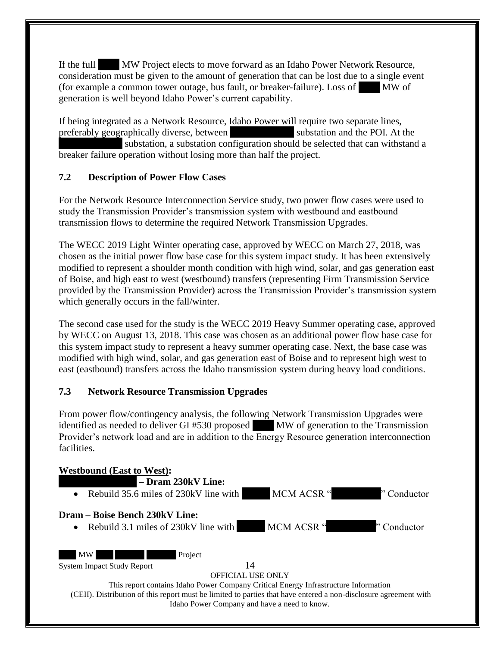If the full MW Project elects to move forward as an Idaho Power Network Resource, consideration must be given to the amount of generation that can be lost due to a single event (for example a common tower outage, bus fault, or breaker-failure). Loss of  $\blacksquare$  MW of generation is well beyond Idaho Power's current capability.

If being integrated as a Network Resource, Idaho Power will require two separate lines, preferably geographically diverse, between substation and the POI. At the substation, a substation configuration should be selected that can withstand a breaker failure operation without losing more than half the project.

## <span id="page-14-0"></span>**7.2 Description of Power Flow Cases**

For the Network Resource Interconnection Service study, two power flow cases were used to study the Transmission Provider's transmission system with westbound and eastbound transmission flows to determine the required Network Transmission Upgrades.

The WECC 2019 Light Winter operating case, approved by WECC on March 27, 2018, was chosen as the initial power flow base case for this system impact study. It has been extensively modified to represent a shoulder month condition with high wind, solar, and gas generation east of Boise, and high east to west (westbound) transfers (representing Firm Transmission Service provided by the Transmission Provider) across the Transmission Provider's transmission system which generally occurs in the fall/winter.

The second case used for the study is the WECC 2019 Heavy Summer operating case, approved by WECC on August 13, 2018. This case was chosen as an additional power flow base case for this system impact study to represent a heavy summer operating case. Next, the base case was modified with high wind, solar, and gas generation east of Boise and to represent high west to east (eastbound) transfers across the Idaho transmission system during heavy load conditions.

#### <span id="page-14-1"></span>**7.3 Network Resource Transmission Upgrades**

From power flow/contingency analysis, the following Network Transmission Upgrades were identified as needed to deliver GI #530 proposed MW of generation to the Transmission Provider's network load and are in addition to the Energy Resource generation interconnection facilities.

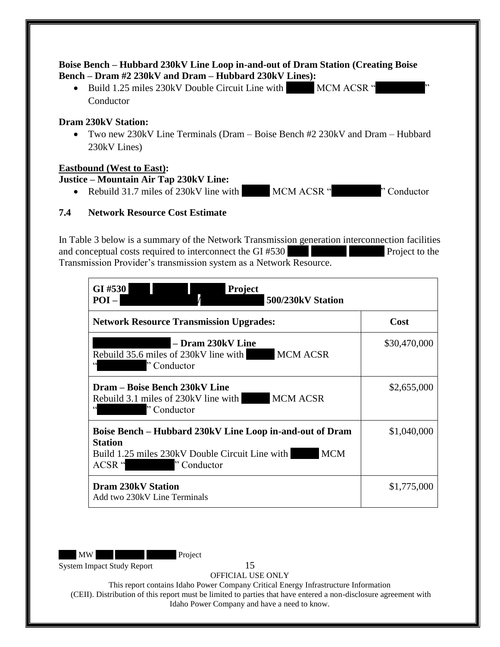#### **Boise Bench – Hubbard 230kV Line Loop in-and-out of Dram Station (Creating Boise Bench – Dram #2 230kV and Dram – Hubbard 230kV Lines):**

• Build 1.25 miles 230kV Double Circuit Line with MCM ACSR " Conductor

#### **Dram 230kV Station:**

• Two new 230kV Line Terminals (Dram – Boise Bench #2 230kV and Dram – Hubbard 230kV Lines)

#### **Eastbound (West to East):**

#### **Justice – Mountain Air Tap 230kV Line:**

• Rebuild 31.7 miles of 230kV line with  $MCM ACSR$  " $\sim$   $NCM ACSR$ "

## <span id="page-15-0"></span>**7.4 Network Resource Cost Estimate**

In Table 3 below is a summary of the Network Transmission generation interconnection facilities and conceptual costs required to interconnect the  $GI \#530$  Project to the Transmission Provider's transmission system as a Network Resource.

| <b>Project</b><br>GI#530<br>$POI -$<br>500/230kV Station                                                                                                                                                                        |              |
|---------------------------------------------------------------------------------------------------------------------------------------------------------------------------------------------------------------------------------|--------------|
| <b>Network Resource Transmission Upgrades:</b>                                                                                                                                                                                  | Cost         |
| - Dram 230kV Line<br><b>MCM ACSR</b><br>Rebuild 35.6 miles of 230kV line with<br>"Conductor                                                                                                                                     | \$30,470,000 |
| Dram – Boise Bench 230kV Line<br><b>MCM ACSR</b><br>Rebuild 3.1 miles of 230kV line with<br><u> di grande de la contrada de la contrada de la contrada de la contrada de la contrada de la contrada de la con</u><br>"Conductor | \$2,655,000  |
| Boise Bench – Hubbard 230kV Line Loop in-and-out of Dram<br><b>Station</b><br><b>MCM</b><br>Build 1.25 miles 230kV Double Circuit Line with<br>ACSR "<br>"Conductor                                                             | \$1,040,000  |
| <b>Dram 230kV Station</b><br>Add two 230kV Line Terminals                                                                                                                                                                       | \$1,775,000  |

MW Project

System Impact Study Report 15

OFFICIAL USE ONLY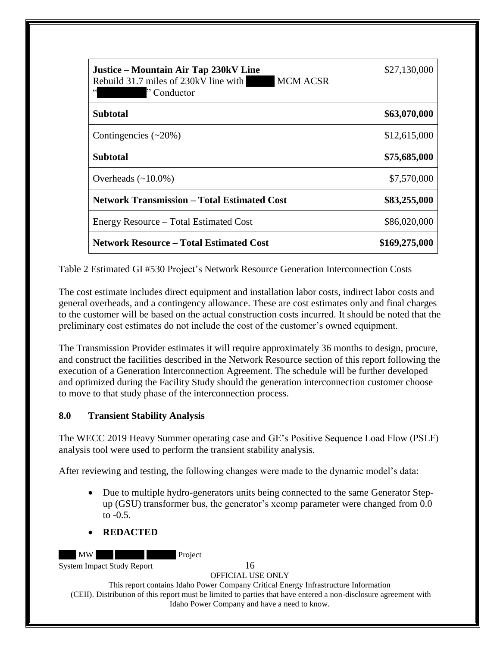| Justice – Mountain Air Tap 230kV Line<br><b>MCM ACSR</b><br>Rebuild 31.7 miles of 230kV line with<br>$\zeta$ $\zeta$<br>"Conductor" | \$27,130,000  |
|-------------------------------------------------------------------------------------------------------------------------------------|---------------|
| <b>Subtotal</b>                                                                                                                     | \$63,070,000  |
| Contingencies $(\sim 20\%)$                                                                                                         | \$12,615,000  |
| <b>Subtotal</b>                                                                                                                     | \$75,685,000  |
| Overheads $(\sim 10.0\%)$                                                                                                           | \$7,570,000   |
| <b>Network Transmission – Total Estimated Cost</b>                                                                                  | \$83,255,000  |
| Energy Resource – Total Estimated Cost                                                                                              | \$86,020,000  |
| <b>Network Resource - Total Estimated Cost</b>                                                                                      | \$169,275,000 |

<span id="page-16-1"></span>Table 2 Estimated GI #530 Project's Network Resource Generation Interconnection Costs

The cost estimate includes direct equipment and installation labor costs, indirect labor costs and general overheads, and a contingency allowance. These are cost estimates only and final charges to the customer will be based on the actual construction costs incurred. It should be noted that the preliminary cost estimates do not include the cost of the customer's owned equipment.

The Transmission Provider estimates it will require approximately 36 months to design, procure, and construct the facilities described in the Network Resource section of this report following the execution of a Generation Interconnection Agreement. The schedule will be further developed and optimized during the Facility Study should the generation interconnection customer choose to move to that study phase of the interconnection process.

#### <span id="page-16-0"></span>**8.0 Transient Stability Analysis**

The WECC 2019 Heavy Summer operating case and GE's Positive Sequence Load Flow (PSLF) analysis tool were used to perform the transient stability analysis.

After reviewing and testing, the following changes were made to the dynamic model's data:

- Due to multiple hydro-generators units being connected to the same Generator Stepup (GSU) transformer bus, the generator's xcomp parameter were changed from 0.0 to  $-0.5$ .
- **REDACTED**

MW Project

System Impact Study Report 16

OFFICIAL USE ONLY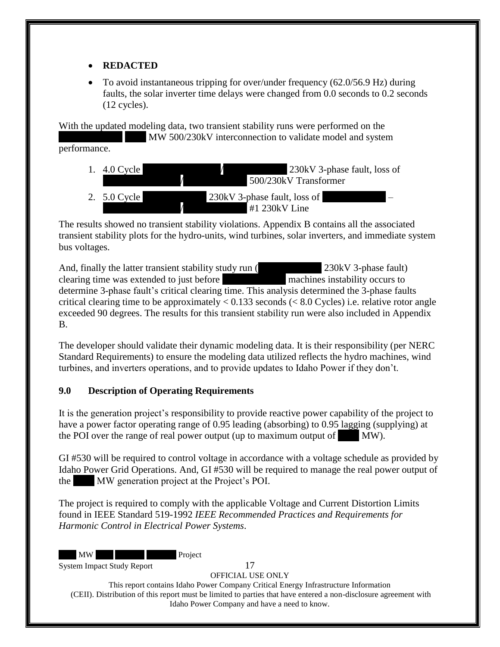## • **REDACTED**

• To avoid instantaneous tripping for over/under frequency (62.0/56.9 Hz) during faults, the solar inverter time delays were changed from 0.0 seconds to 0.2 seconds (12 cycles).

With the updated modeling data, two transient stability runs were performed on the MW 500/230kV interconnection to validate model and system performance.

1.  $4.0$  Cycle  $\overline{\smash{\big)}\xspace}$   $\overline{\smash{\big)}\xspace}$   $\overline{\smash{\big)}\xspace}$   $\overline{\smash{\big)}\xspace}$   $\overline{\smash{\big)}\xspace}$   $\overline{\smash{\big)}\xspace}$   $\overline{\smash{\big)}\xspace}$   $\overline{\smash{\big)}\xspace}$   $\overline{\smash{\big)}\xspace}$   $\overline{\smash{\big)}\xspace}$   $\overline{\smash{\big)}\xspace}$   $\overline{\smash{\big)}\xspace}$   $\overline{\smash{\big)}\xspace}$ 500/230kV Transformer 2.  $5.0$  Cycle  $\overline{\smash{\big)}\}$  230kV 3-phase fault, loss of  $#1$  230kV Line

The results showed no transient stability violations. Appendix B contains all the associated transient stability plots for the hydro-units, wind turbines, solar inverters, and immediate system bus voltages.

And, finally the latter transient stability study run (XXXXXX 3-phase fault) clearing time was extended to just before machines instability occurs to determine 3-phase fault's critical clearing time. This analysis determined the 3-phase faults critical clearing time to be approximately  $< 0.133$  seconds ( $< 8.0$  Cycles) i.e. relative rotor angle exceeded 90 degrees. The results for this transient stability run were also included in Appendix B.

The developer should validate their dynamic modeling data. It is their responsibility (per NERC Standard Requirements) to ensure the modeling data utilized reflects the hydro machines, wind turbines, and inverters operations, and to provide updates to Idaho Power if they don't.

## <span id="page-17-0"></span>**9.0 Description of Operating Requirements**

It is the generation project's responsibility to provide reactive power capability of the project to have a power factor operating range of 0.95 leading (absorbing) to 0.95 lagging (supplying) at the POI over the range of real power output (up to maximum output of  $\mathbf{M}$ W).

GI #530 will be required to control voltage in accordance with a voltage schedule as provided by Idaho Power Grid Operations. And, GI #530 will be required to manage the real power output of the MW generation project at the Project's POI.

The project is required to comply with the applicable Voltage and Current Distortion Limits found in IEEE Standard 519-1992 *IEEE Recommended Practices and Requirements for Harmonic Control in Electrical Power Systems*.

MW Project

System Impact Study Report 17

OFFICIAL USE ONLY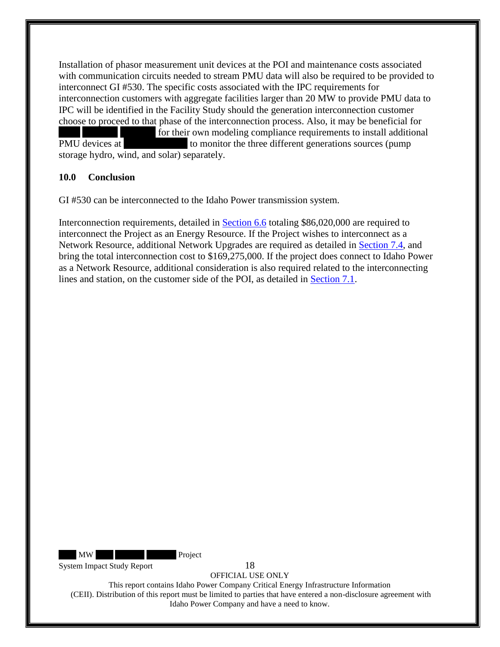Installation of phasor measurement unit devices at the POI and maintenance costs associated with communication circuits needed to stream PMU data will also be required to be provided to interconnect GI #530. The specific costs associated with the IPC requirements for interconnection customers with aggregate facilities larger than 20 MW to provide PMU data to IPC will be identified in the Facility Study should the generation interconnection customer choose to proceed to that phase of the interconnection process. Also, it may be beneficial for for their own modeling compliance requirements to install additional PMU devices at  $\blacksquare$  to monitor the three different generations sources (pump storage hydro, wind, and solar) separately.

#### <span id="page-18-0"></span>**10.0 Conclusion**

GI #530 can be interconnected to the Idaho Power transmission system.

Interconnection requirements, detailed in **Section 6.6** totaling \$86,020,000 are required to interconnect the Project as an Energy Resource. If the Project wishes to interconnect as a Network Resource, additional Network Upgrades are required as detailed in [Section 7.4,](#page-15-0) and bring the total interconnection cost to \$169,275,000. If the project does connect to Idaho Power as a Network Resource, additional consideration is also required related to the interconnecting lines and station, on the customer side of the POI, as detailed in [Section 7.1.](#page-13-1)

MW Project

System Impact Study Report 18

OFFICIAL USE ONLY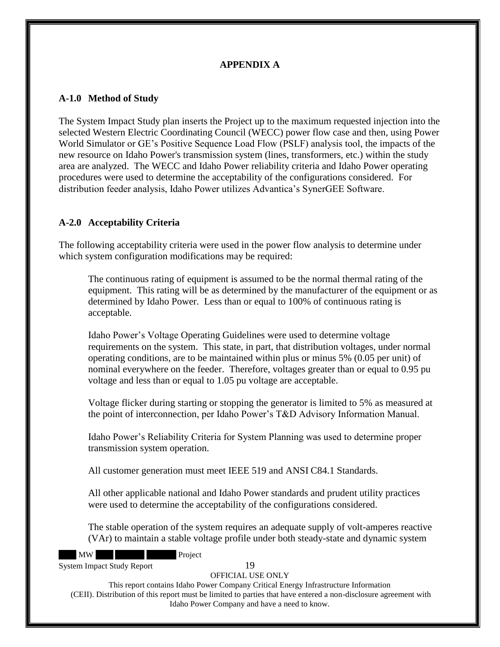## **APPENDIX A**

#### <span id="page-19-1"></span><span id="page-19-0"></span>**A-1.0 Method of Study**

The System Impact Study plan inserts the Project up to the maximum requested injection into the selected Western Electric Coordinating Council (WECC) power flow case and then, using Power World Simulator or GE's Positive Sequence Load Flow (PSLF) analysis tool, the impacts of the new resource on Idaho Power's transmission system (lines, transformers, etc.) within the study area are analyzed. The WECC and Idaho Power reliability criteria and Idaho Power operating procedures were used to determine the acceptability of the configurations considered. For distribution feeder analysis, Idaho Power utilizes Advantica's SynerGEE Software.

## <span id="page-19-2"></span>**A-2.0 Acceptability Criteria**

The following acceptability criteria were used in the power flow analysis to determine under which system configuration modifications may be required:

The continuous rating of equipment is assumed to be the normal thermal rating of the equipment. This rating will be as determined by the manufacturer of the equipment or as determined by Idaho Power. Less than or equal to 100% of continuous rating is acceptable.

Idaho Power's Voltage Operating Guidelines were used to determine voltage requirements on the system. This state, in part, that distribution voltages, under normal operating conditions, are to be maintained within plus or minus 5% (0.05 per unit) of nominal everywhere on the feeder. Therefore, voltages greater than or equal to 0.95 pu voltage and less than or equal to 1.05 pu voltage are acceptable.

Voltage flicker during starting or stopping the generator is limited to 5% as measured at the point of interconnection, per Idaho Power's T&D Advisory Information Manual.

Idaho Power's Reliability Criteria for System Planning was used to determine proper transmission system operation.

All customer generation must meet IEEE 519 and ANSI C84.1 Standards.

All other applicable national and Idaho Power standards and prudent utility practices were used to determine the acceptability of the configurations considered.

The stable operation of the system requires an adequate supply of volt-amperes reactive (VAr) to maintain a stable voltage profile under both steady-state and dynamic system

MW Project

System Impact Study Report 19

OFFICIAL USE ONLY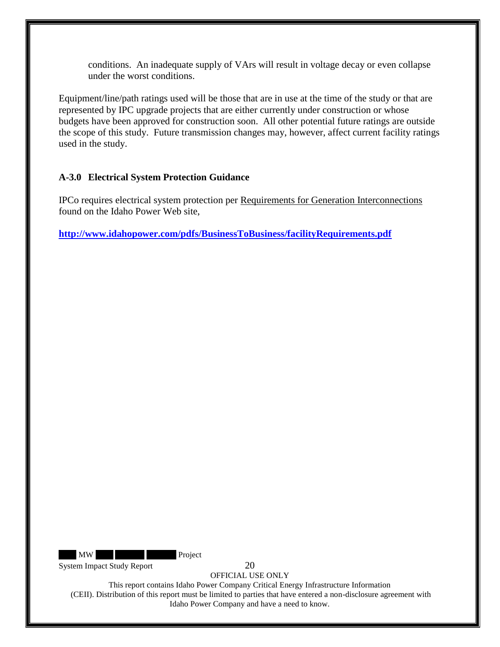conditions. An inadequate supply of VArs will result in voltage decay or even collapse under the worst conditions.

Equipment/line/path ratings used will be those that are in use at the time of the study or that are represented by IPC upgrade projects that are either currently under construction or whose budgets have been approved for construction soon. All other potential future ratings are outside the scope of this study. Future transmission changes may, however, affect current facility ratings used in the study.

#### <span id="page-20-0"></span>**A-3.0 Electrical System Protection Guidance**

IPCo requires electrical system protection per Requirements for Generation Interconnections found on the Idaho Power Web site,

**<http://www.idahopower.com/pdfs/BusinessToBusiness/facilityRequirements.pdf>**

MW Project

System Impact Study Report 20

OFFICIAL USE ONLY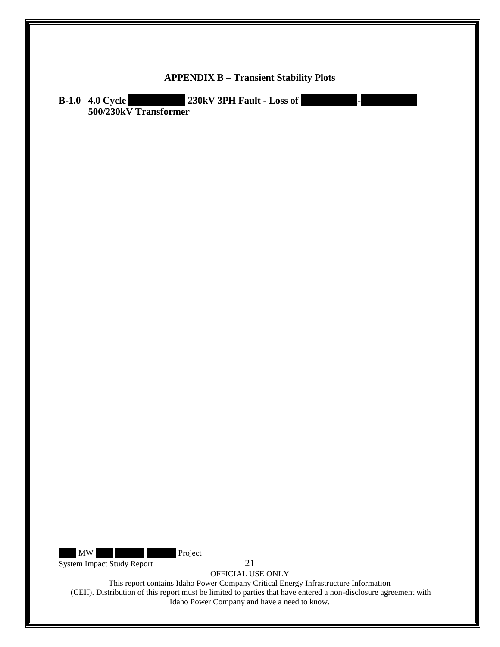<span id="page-21-1"></span><span id="page-21-0"></span>

| <b>APPENDIX B - Transient Stability Plots</b>                                                     |  |
|---------------------------------------------------------------------------------------------------|--|
| 230kV 3PH Fault - Loss of<br><b>B-1.0 4.0 Cycle</b><br><u>a basan da</u><br>500/230kV Transformer |  |
|                                                                                                   |  |
|                                                                                                   |  |
|                                                                                                   |  |
|                                                                                                   |  |
|                                                                                                   |  |
|                                                                                                   |  |
|                                                                                                   |  |
|                                                                                                   |  |
|                                                                                                   |  |
|                                                                                                   |  |
|                                                                                                   |  |
|                                                                                                   |  |
|                                                                                                   |  |
|                                                                                                   |  |
|                                                                                                   |  |
|                                                                                                   |  |
|                                                                                                   |  |
|                                                                                                   |  |
|                                                                                                   |  |
|                                                                                                   |  |
|                                                                                                   |  |
|                                                                                                   |  |
|                                                                                                   |  |
|                                                                                                   |  |
| MW<br>Project                                                                                     |  |
| System Impact Study Report<br>21<br>OFFICIAL USE ONLY                                             |  |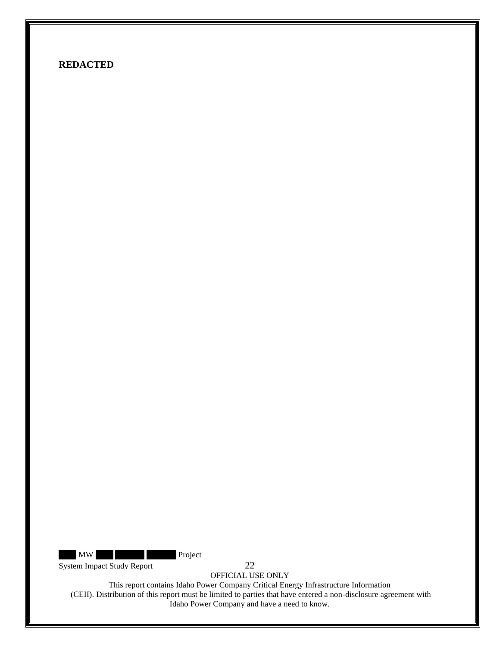MW Project

System Impact Study Report 22

OFFICIAL USE ONLY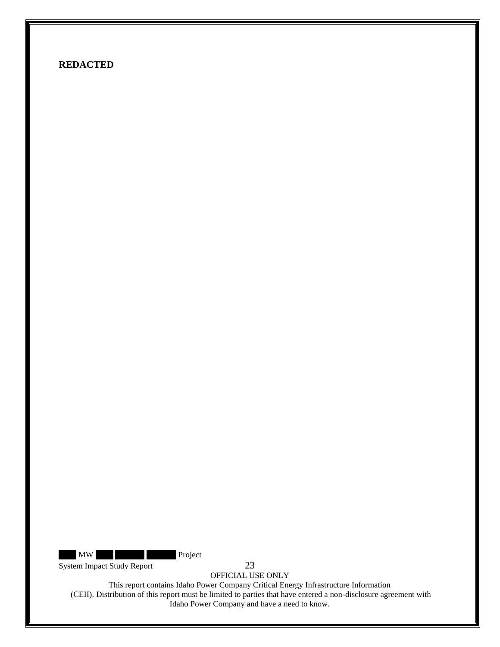MW Project

System Impact Study Report 23

OFFICIAL USE ONLY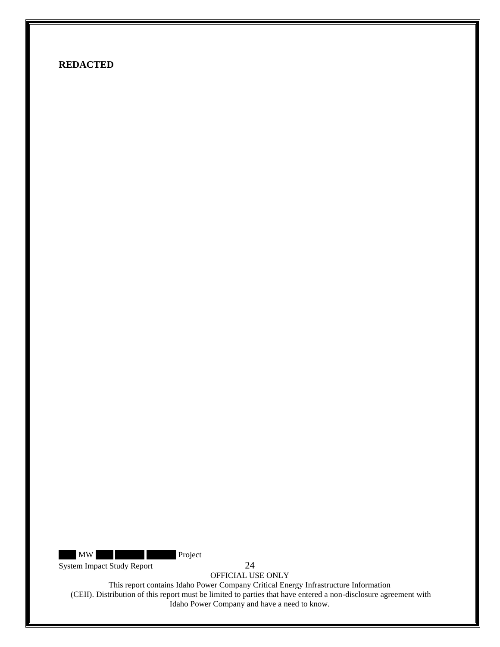MW Project

System Impact Study Report 24

OFFICIAL USE ONLY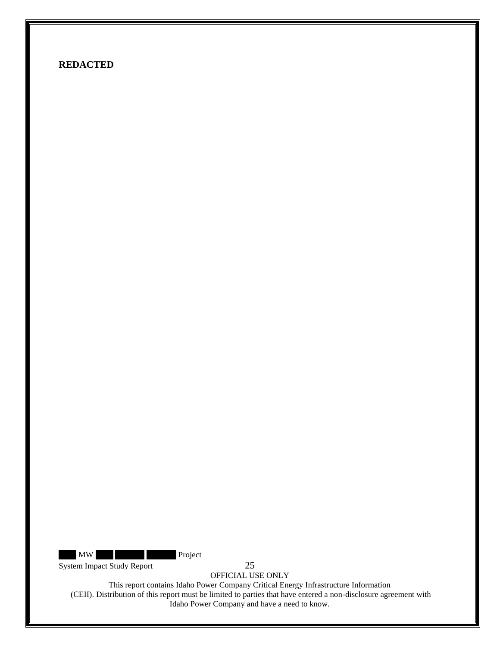MW Project

System Impact Study Report 25

OFFICIAL USE ONLY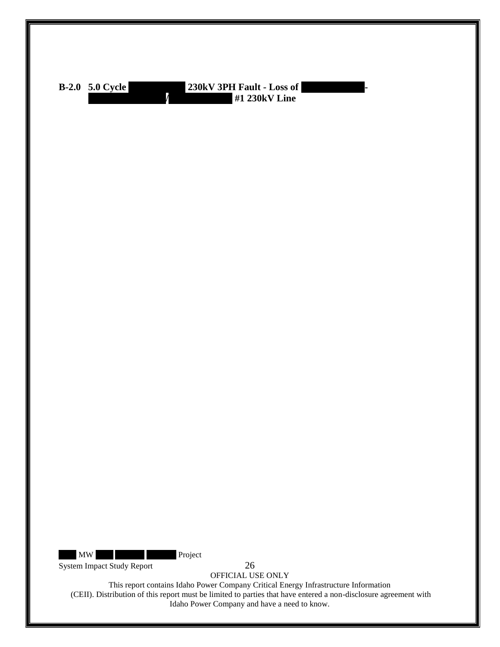<span id="page-26-0"></span>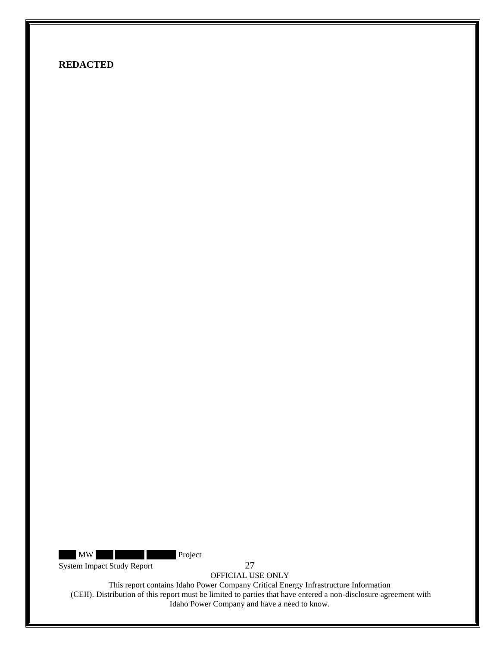MW Project

System Impact Study Report 27

OFFICIAL USE ONLY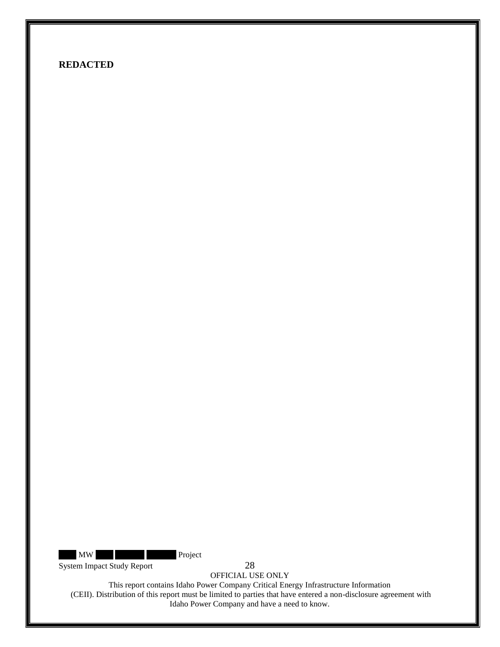MW Project

System Impact Study Report 28

OFFICIAL USE ONLY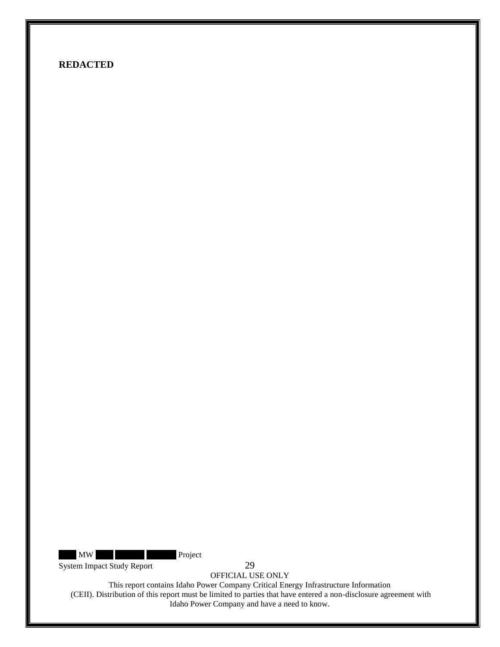MW Project

System Impact Study Report 29

OFFICIAL USE ONLY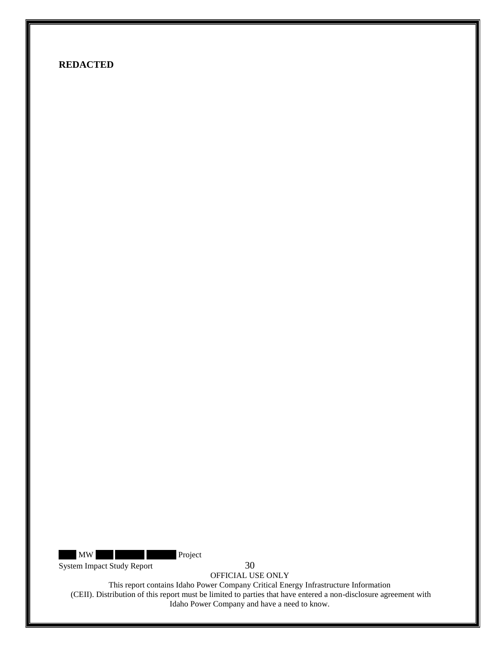MW Project

System Impact Study Report 30

OFFICIAL USE ONLY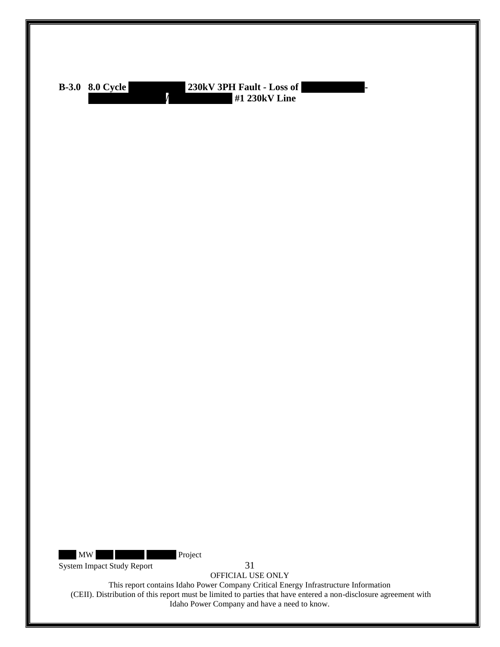<span id="page-31-0"></span>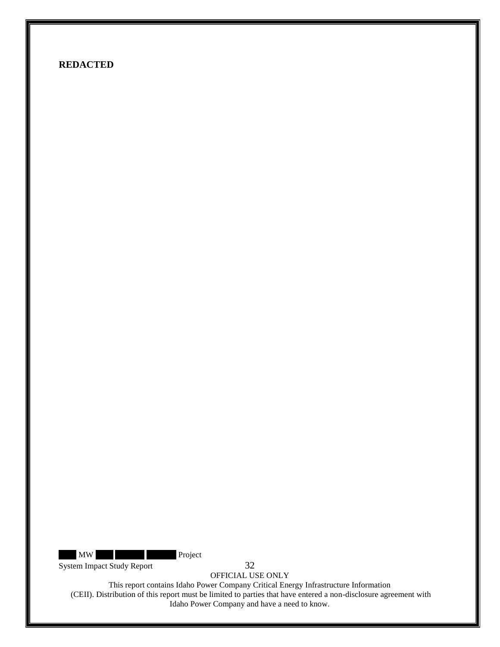MW Project

System Impact Study Report 32

OFFICIAL USE ONLY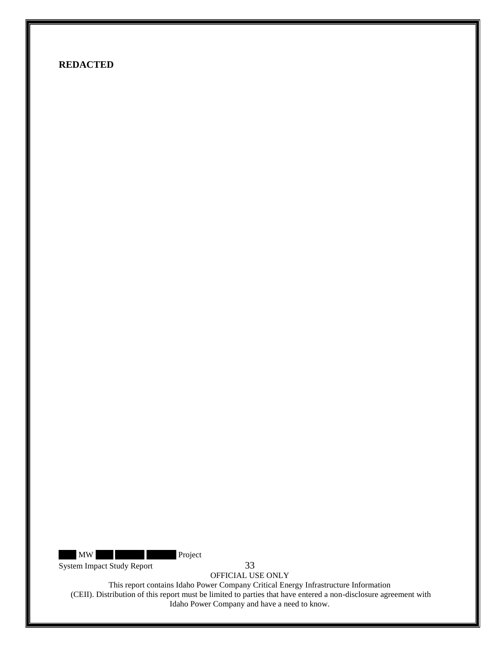MW Project

System Impact Study Report 33

OFFICIAL USE ONLY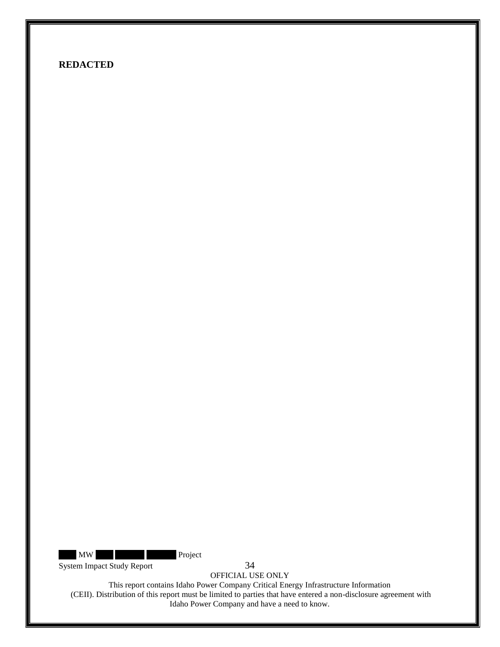MW Project

System Impact Study Report 34

OFFICIAL USE ONLY